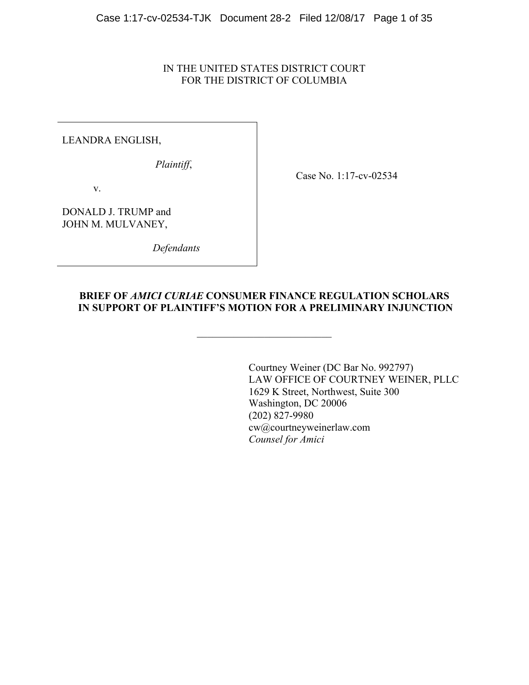## IN THE UNITED STATES DISTRICT COURT FOR THE DISTRICT OF COLUMBIA

LEANDRA ENGLISH,

*Plaintiff*,

Case No. 1:17-cv-02534

v.

DONALD J. TRUMP and JOHN M. MULVANEY,

 *Defendants*

## **BRIEF OF** *AMICI CURIAE* **CONSUMER FINANCE REGULATION SCHOLARS IN SUPPORT OF PLAINTIFF'S MOTION FOR A PRELIMINARY INJUNCTION**

 $\mathcal{L}_\text{max}$ 

Courtney Weiner (DC Bar No. 992797) LAW OFFICE OF COURTNEY WEINER, PLLC 1629 K Street, Northwest, Suite 300 Washington, DC 20006 (202) 827-9980 cw@courtneyweinerlaw.com *Counsel for Amici*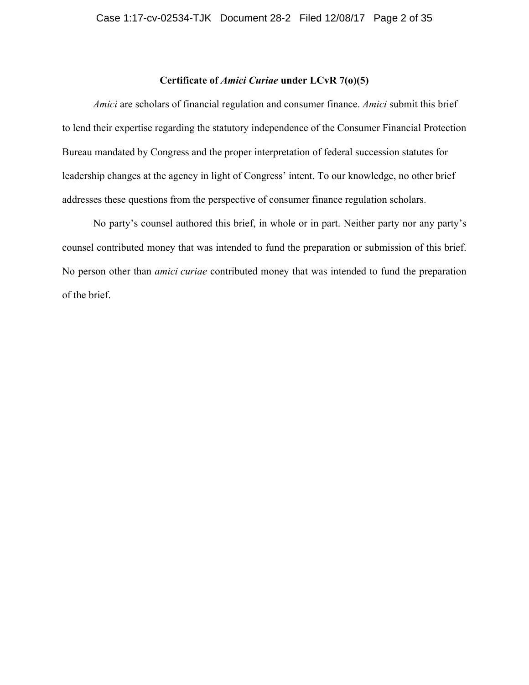#### **Certificate of** *Amici Curiae* **under LCvR 7(o)(5)**

*Amici* are scholars of financial regulation and consumer finance. *Amici* submit this brief to lend their expertise regarding the statutory independence of the Consumer Financial Protection Bureau mandated by Congress and the proper interpretation of federal succession statutes for leadership changes at the agency in light of Congress' intent. To our knowledge, no other brief addresses these questions from the perspective of consumer finance regulation scholars.

No party's counsel authored this brief, in whole or in part. Neither party nor any party's counsel contributed money that was intended to fund the preparation or submission of this brief. No person other than *amici curiae* contributed money that was intended to fund the preparation of the brief.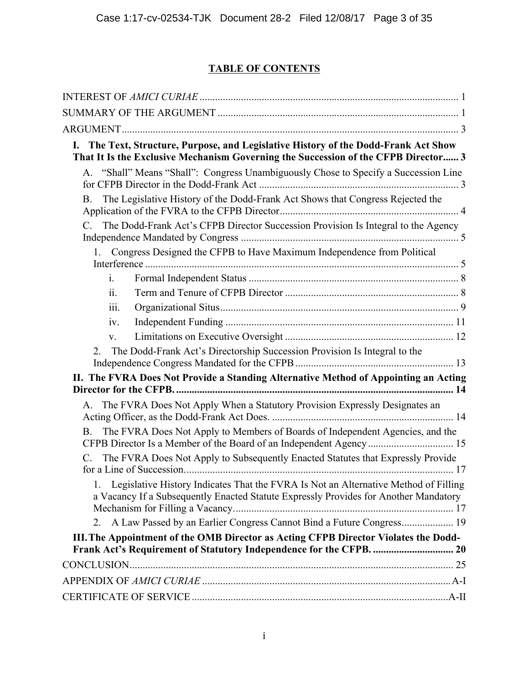# **TABLE OF CONTENTS**

| I. The Text, Structure, Purpose, and Legislative History of the Dodd-Frank Act Show<br>That It Is the Exclusive Mechanism Governing the Succession of the CFPB Director 3   |
|-----------------------------------------------------------------------------------------------------------------------------------------------------------------------------|
| A. "Shall" Means "Shall": Congress Unambiguously Chose to Specify a Succession Line                                                                                         |
| The Legislative History of the Dodd-Frank Act Shows that Congress Rejected the<br><b>B</b> .                                                                                |
| C. The Dodd-Frank Act's CFPB Director Succession Provision Is Integral to the Agency                                                                                        |
| 1. Congress Designed the CFPB to Have Maximum Independence from Political                                                                                                   |
| $\mathbf{i}$ .                                                                                                                                                              |
| 11.                                                                                                                                                                         |
| iii.                                                                                                                                                                        |
| iv.                                                                                                                                                                         |
| $V_{\tau}$                                                                                                                                                                  |
| The Dodd-Frank Act's Directorship Succession Provision Is Integral to the<br>2.                                                                                             |
| II. The FVRA Does Not Provide a Standing Alternative Method of Appointing an Acting                                                                                         |
| A. The FVRA Does Not Apply When a Statutory Provision Expressly Designates an                                                                                               |
| The FVRA Does Not Apply to Members of Boards of Independent Agencies, and the<br><b>B.</b><br>CFPB Director Is a Member of the Board of an Independent Agency  15           |
| The FVRA Does Not Apply to Subsequently Enacted Statutes that Expressly Provide                                                                                             |
| Legislative History Indicates That the FVRA Is Not an Alternative Method of Filling<br>a Vacancy If a Subsequently Enacted Statute Expressly Provides for Another Mandatory |
| 2. A Law Passed by an Earlier Congress Cannot Bind a Future Congress 19                                                                                                     |
| III. The Appointment of the OMB Director as Acting CFPB Director Violates the Dodd-                                                                                         |
| Frank Act's Requirement of Statutory Independence for the CFPB.  20                                                                                                         |
|                                                                                                                                                                             |
|                                                                                                                                                                             |
|                                                                                                                                                                             |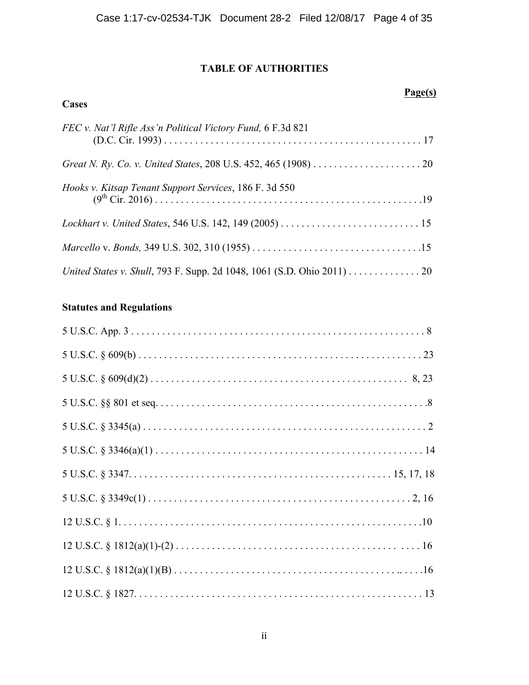## **TABLE OF AUTHORITIES**

# **Cases** *FEC v. Nat'l Rifle Ass'n Political Victory Fund,* 6 F.3d 821 (D.C. Cir. 1993) . . . . . . . . . . . . . . . . . . . . . . . . . . . . . . . . . . . . . . . . . . . . . . . . . . 17 *Great N. Ry. Co. v. United States*, 208 U.S. 452, 465 (1908) . . . . . . . . . . . . . . . . . . . . . 20 *Hooks v. Kitsap Tenant Support Services*, 186 F. 3d 550 (9th Cir. 2016) . . . . . . . . . . . . . . . . . . . . . . . . . . . . . . . . . . . . . . . . . . . . . . . . . . . .19 *Lockhart v. United States*, 546 U.S. 142, 149 (2005) . . . . . . . . . . . . . . . . . . . . . . . . . . . 15

|  |  | United States v. Shull, 793 F. Supp. 2d 1048, 1061 (S.D. Ohio 2011) 20 |  |
|--|--|------------------------------------------------------------------------|--|

*Marcello* v. *Bonds,* 349 U.S. 302, 310 (1955) . . . . . . . . . . . . . . . . . . . . . . . . . . . . . . . . .15

## **Statutes and Regulations**

## **Page(s)**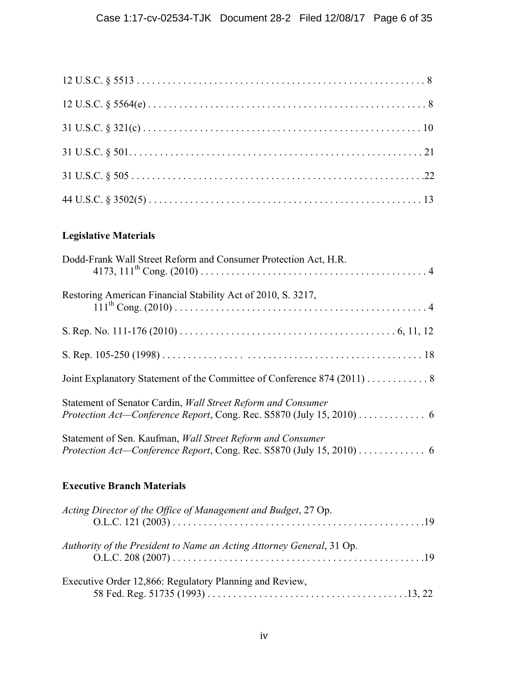# **Legislative Materials**

| Dodd-Frank Wall Street Reform and Consumer Protection Act, H.R.                                                                       |
|---------------------------------------------------------------------------------------------------------------------------------------|
| Restoring American Financial Stability Act of 2010, S. 3217,                                                                          |
|                                                                                                                                       |
|                                                                                                                                       |
| Joint Explanatory Statement of the Committee of Conference 874 (2011) 8                                                               |
| Statement of Senator Cardin, Wall Street Reform and Consumer<br>Protection Act-Conference Report, Cong. Rec. S5870 (July 15, 2010)  6 |
| Statement of Sen. Kaufman, Wall Street Reform and Consumer                                                                            |
| <b>Executive Branch Materials</b>                                                                                                     |
| Acting Director of the Office of Management and Budget, 27 Op.                                                                        |
| Authority of the President to Name an Acting Attorney General, 31 Op.                                                                 |
| Executive Order 12,866: Regulatory Planning and Review,                                                                               |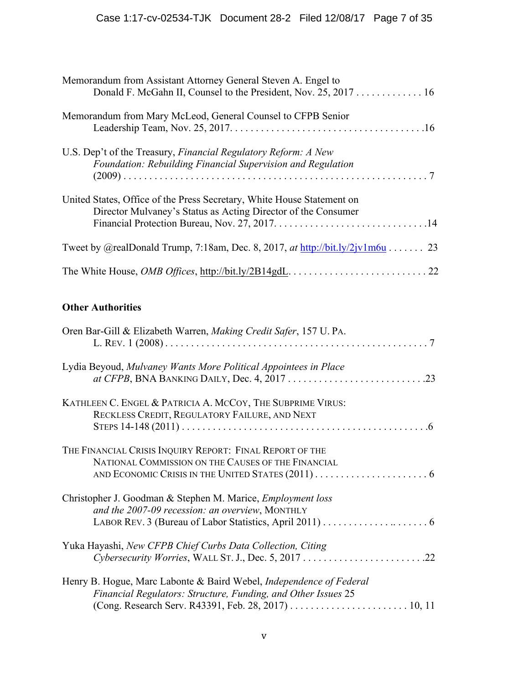| Memorandum from Assistant Attorney General Steven A. Engel to                                                                           |
|-----------------------------------------------------------------------------------------------------------------------------------------|
| Memorandum from Mary McLeod, General Counsel to CFPB Senior                                                                             |
| U.S. Dep't of the Treasury, <i>Financial Regulatory Reform: A New</i><br>Foundation: Rebuilding Financial Supervision and Regulation    |
| United States, Office of the Press Secretary, White House Statement on<br>Director Mulvaney's Status as Acting Director of the Consumer |
| Tweet by @realDonald Trump, 7:18am, Dec. 8, 2017, at http://bit.ly/2jv1m6u 23                                                           |
|                                                                                                                                         |

## **Other Authorities**

| Oren Bar-Gill & Elizabeth Warren, Making Credit Safer, 157 U. PA.                                                                           |
|---------------------------------------------------------------------------------------------------------------------------------------------|
| Lydia Beyoud, Mulvaney Wants More Political Appointees in Place                                                                             |
| KATHLEEN C. ENGEL & PATRICIA A. MCCOY, THE SUBPRIME VIRUS:<br>RECKLESS CREDIT, REGULATORY FAILURE, AND NEXT                                 |
| THE FINANCIAL CRISIS INQUIRY REPORT: FINAL REPORT OF THE<br>NATIONAL COMMISSION ON THE CAUSES OF THE FINANCIAL                              |
| Christopher J. Goodman & Stephen M. Marice, <i>Employment loss</i><br>and the 2007-09 recession: an overview, MONTHLY                       |
| Yuka Hayashi, New CFPB Chief Curbs Data Collection, Citing                                                                                  |
| Henry B. Hogue, Marc Labonte & Baird Webel, <i>Independence of Federal</i><br>Financial Regulators: Structure, Funding, and Other Issues 25 |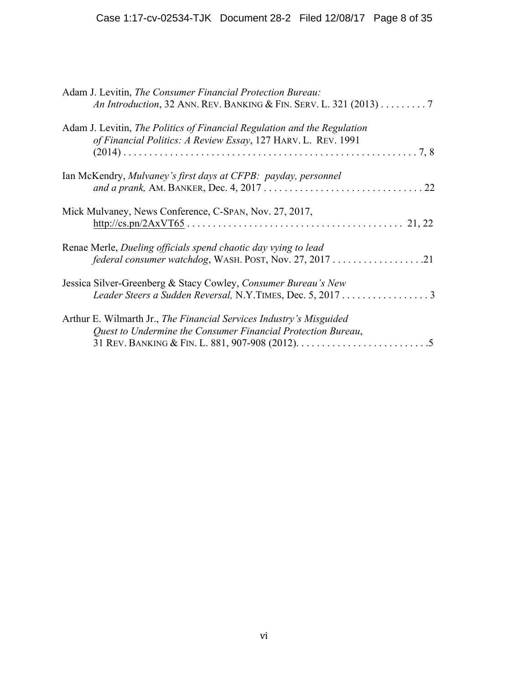| Adam J. Levitin, The Consumer Financial Protection Bureau:<br>An Introduction, 32 ANN. REV. BANKING & FIN. SERV. L. 321 (2013) 7                 |
|--------------------------------------------------------------------------------------------------------------------------------------------------|
| Adam J. Levitin, The Politics of Financial Regulation and the Regulation<br>of Financial Politics: A Review Essay, 127 HARV. L. REV. 1991<br>7,8 |
| Ian McKendry, Mulvaney's first days at CFPB: payday, personnel<br>22                                                                             |
| Mick Mulvaney, News Conference, C-SPAN, Nov. 27, 2017,                                                                                           |
| Renae Merle, Dueling officials spend chaotic day vying to lead                                                                                   |
| Jessica Silver-Greenberg & Stacy Cowley, Consumer Bureau's New<br>Leader Steers a Sudden Reversal, N.Y.TIMES, Dec. 5, 2017 3                     |
| Arthur E. Wilmarth Jr., The Financial Services Industry's Misguided<br>Quest to Undermine the Consumer Financial Protection Bureau,              |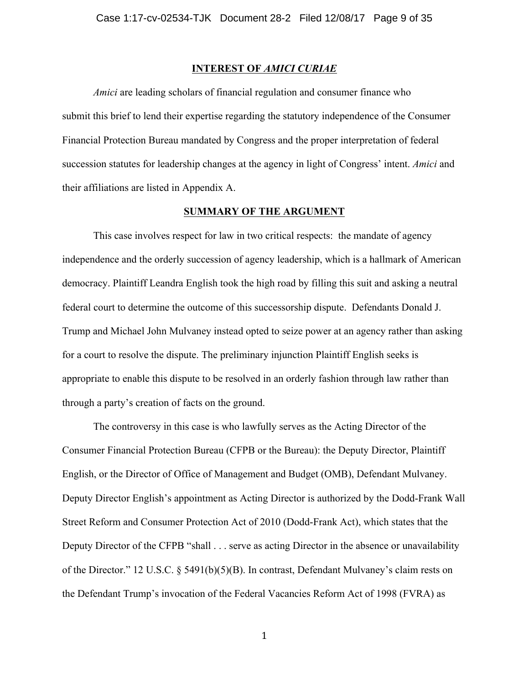#### **INTEREST OF** *AMICI CURIAE*

*Amici* are leading scholars of financial regulation and consumer finance who submit this brief to lend their expertise regarding the statutory independence of the Consumer Financial Protection Bureau mandated by Congress and the proper interpretation of federal succession statutes for leadership changes at the agency in light of Congress' intent. *Amici* and their affiliations are listed in Appendix A.

#### **SUMMARY OF THE ARGUMENT**

This case involves respect for law in two critical respects: the mandate of agency independence and the orderly succession of agency leadership, which is a hallmark of American democracy. Plaintiff Leandra English took the high road by filling this suit and asking a neutral federal court to determine the outcome of this successorship dispute. Defendants Donald J. Trump and Michael John Mulvaney instead opted to seize power at an agency rather than asking for a court to resolve the dispute. The preliminary injunction Plaintiff English seeks is appropriate to enable this dispute to be resolved in an orderly fashion through law rather than through a party's creation of facts on the ground.

The controversy in this case is who lawfully serves as the Acting Director of the Consumer Financial Protection Bureau (CFPB or the Bureau): the Deputy Director, Plaintiff English, or the Director of Office of Management and Budget (OMB), Defendant Mulvaney. Deputy Director English's appointment as Acting Director is authorized by the Dodd-Frank Wall Street Reform and Consumer Protection Act of 2010 (Dodd-Frank Act), which states that the Deputy Director of the CFPB "shall . . . serve as acting Director in the absence or unavailability of the Director." 12 U.S.C. § 5491(b)(5)(B). In contrast, Defendant Mulvaney's claim rests on the Defendant Trump's invocation of the Federal Vacancies Reform Act of 1998 (FVRA) as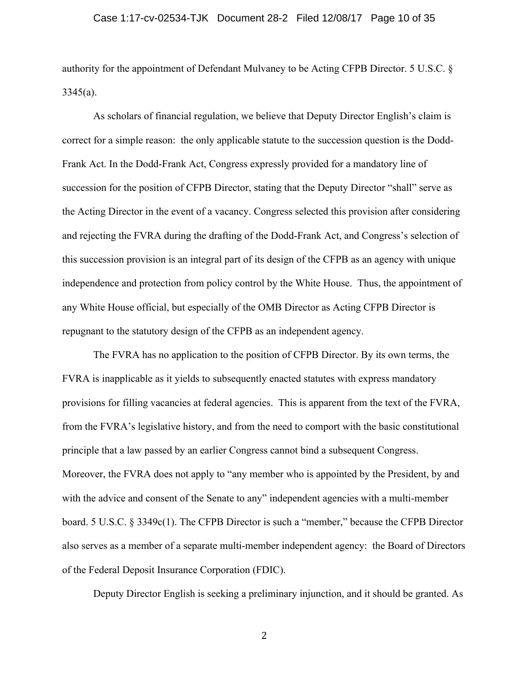authority for the appointment of Defendant Mulvaney to be Acting CFPB Director. 5 U.S.C. §  $3345(a)$ .

As scholars of financial regulation, we believe that Deputy Director English's claim is correct for a simple reason: the only applicable statute to the succession question is the Dodd-Frank Act. In the Dodd-Frank Act, Congress expressly provided for a mandatory line of succession for the position of CFPB Director, stating that the Deputy Director "shall" serve as the Acting Director in the event of a vacancy. Congress selected this provision after considering and rejecting the FVRA during the drafting of the Dodd-Frank Act, and Congress's selection of this succession provision is an integral part of its design of the CFPB as an agency with unique independence and protection from policy control by the White House. Thus, the appointment of any White House official, but especially of the OMB Director as Acting CFPB Director is repugnant to the statutory design of the CFPB as an independent agency.

The FVRA has no application to the position of CFPB Director. By its own terms, the FVRA is inapplicable as it yields to subsequently enacted statutes with express mandatory provisions for filling vacancies at federal agencies. This is apparent from the text of the FVRA, from the FVRA's legislative history, and from the need to comport with the basic constitutional principle that a law passed by an earlier Congress cannot bind a subsequent Congress. Moreover, the FVRA does not apply to "any member who is appointed by the President, by and with the advice and consent of the Senate to any" independent agencies with a multi-member board. 5 U.S.C. § 3349c(1). The CFPB Director is such a "member," because the CFPB Director also serves as a member of a separate multi-member independent agency: the Board of Directors of the Federal Deposit Insurance Corporation (FDIC).

Deputy Director English is seeking a preliminary injunction, and it should be granted. As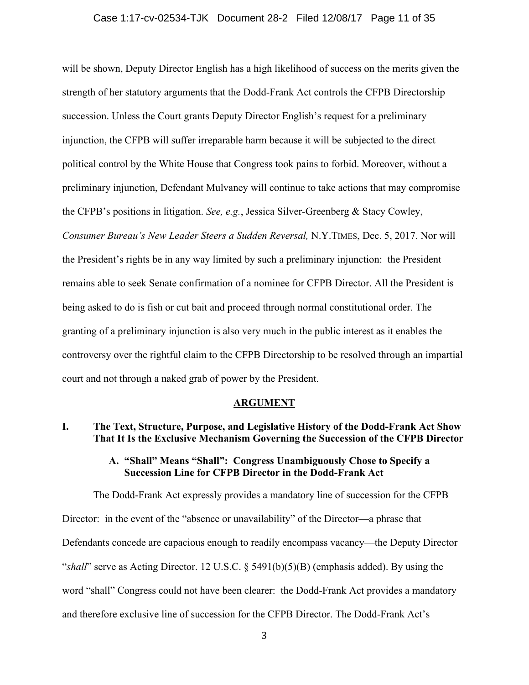will be shown, Deputy Director English has a high likelihood of success on the merits given the strength of her statutory arguments that the Dodd-Frank Act controls the CFPB Directorship succession. Unless the Court grants Deputy Director English's request for a preliminary injunction, the CFPB will suffer irreparable harm because it will be subjected to the direct political control by the White House that Congress took pains to forbid. Moreover, without a preliminary injunction, Defendant Mulvaney will continue to take actions that may compromise the CFPB's positions in litigation. *See, e.g.*, Jessica Silver-Greenberg & Stacy Cowley, *Consumer Bureau's New Leader Steers a Sudden Reversal,* N.Y.TIMES, Dec. 5, 2017. Nor will the President's rights be in any way limited by such a preliminary injunction: the President remains able to seek Senate confirmation of a nominee for CFPB Director. All the President is being asked to do is fish or cut bait and proceed through normal constitutional order. The granting of a preliminary injunction is also very much in the public interest as it enables the controversy over the rightful claim to the CFPB Directorship to be resolved through an impartial court and not through a naked grab of power by the President.

#### **ARGUMENT**

## **I. The Text, Structure, Purpose, and Legislative History of the Dodd-Frank Act Show That It Is the Exclusive Mechanism Governing the Succession of the CFPB Director**

#### **A. "Shall" Means "Shall": Congress Unambiguously Chose to Specify a Succession Line for CFPB Director in the Dodd-Frank Act**

The Dodd-Frank Act expressly provides a mandatory line of succession for the CFPB Director: in the event of the "absence or unavailability" of the Director—a phrase that Defendants concede are capacious enough to readily encompass vacancy—the Deputy Director "*shall*" serve as Acting Director. 12 U.S.C. § 5491(b)(5)(B) (emphasis added). By using the word "shall" Congress could not have been clearer: the Dodd-Frank Act provides a mandatory and therefore exclusive line of succession for the CFPB Director. The Dodd-Frank Act's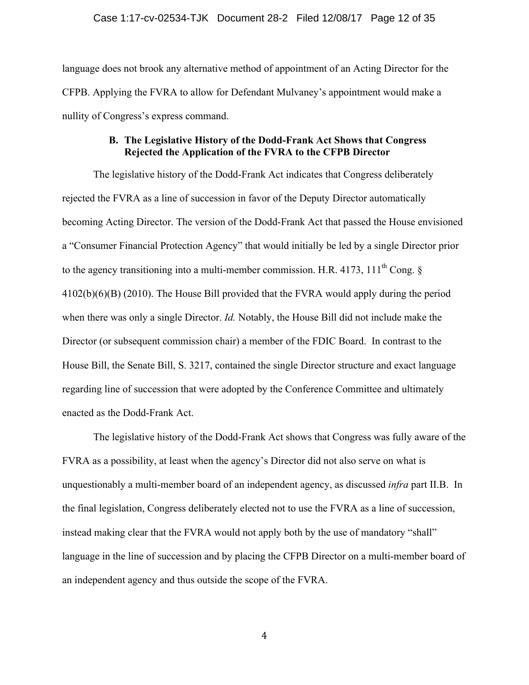language does not brook any alternative method of appointment of an Acting Director for the CFPB. Applying the FVRA to allow for Defendant Mulvaney's appointment would make a nullity of Congress's express command.

## **B. The Legislative History of the Dodd-Frank Act Shows that Congress Rejected the Application of the FVRA to the CFPB Director**

The legislative history of the Dodd-Frank Act indicates that Congress deliberately rejected the FVRA as a line of succession in favor of the Deputy Director automatically becoming Acting Director. The version of the Dodd-Frank Act that passed the House envisioned a "Consumer Financial Protection Agency" that would initially be led by a single Director prior to the agency transitioning into a multi-member commission. H.R. 4173, 111<sup>th</sup> Cong.  $\S$ 4102(b)(6)(B) (2010). The House Bill provided that the FVRA would apply during the period when there was only a single Director. *Id.* Notably, the House Bill did not include make the Director (or subsequent commission chair) a member of the FDIC Board. In contrast to the House Bill, the Senate Bill, S. 3217, contained the single Director structure and exact language regarding line of succession that were adopted by the Conference Committee and ultimately enacted as the Dodd-Frank Act.

The legislative history of the Dodd-Frank Act shows that Congress was fully aware of the FVRA as a possibility, at least when the agency's Director did not also serve on what is unquestionably a multi-member board of an independent agency, as discussed *infra* part II.B. In the final legislation, Congress deliberately elected not to use the FVRA as a line of succession, instead making clear that the FVRA would not apply both by the use of mandatory "shall" language in the line of succession and by placing the CFPB Director on a multi-member board of an independent agency and thus outside the scope of the FVRA.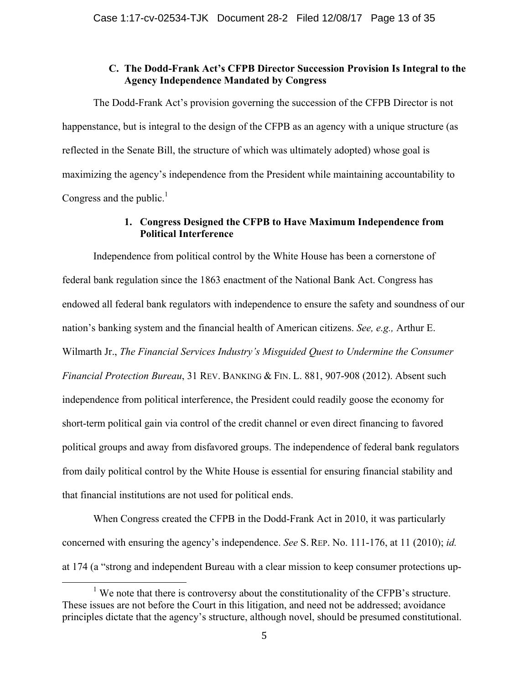## **C. The Dodd-Frank Act's CFPB Director Succession Provision Is Integral to the Agency Independence Mandated by Congress**

The Dodd-Frank Act's provision governing the succession of the CFPB Director is not happenstance, but is integral to the design of the CFPB as an agency with a unique structure (as reflected in the Senate Bill, the structure of which was ultimately adopted) whose goal is maximizing the agency's independence from the President while maintaining accountability to Congress and the public. $<sup>1</sup>$ </sup>

## **1. Congress Designed the CFPB to Have Maximum Independence from Political Interference**

Independence from political control by the White House has been a cornerstone of federal bank regulation since the 1863 enactment of the National Bank Act. Congress has endowed all federal bank regulators with independence to ensure the safety and soundness of our nation's banking system and the financial health of American citizens. *See, e.g.,* Arthur E. Wilmarth Jr., *The Financial Services Industry's Misguided Quest to Undermine the Consumer Financial Protection Bureau*, 31 REV. BANKING & FIN. L. 881, 907-908 (2012). Absent such independence from political interference, the President could readily goose the economy for short-term political gain via control of the credit channel or even direct financing to favored political groups and away from disfavored groups. The independence of federal bank regulators from daily political control by the White House is essential for ensuring financial stability and that financial institutions are not used for political ends.

When Congress created the CFPB in the Dodd-Frank Act in 2010, it was particularly concerned with ensuring the agency's independence. *See* S. REP. No. 111-176, at 11 (2010); *id.*  at 174 (a "strong and independent Bureau with a clear mission to keep consumer protections up-

<sup>&</sup>lt;sup>1</sup> We note that there is controversy about the constitutionality of the CFPB's structure. These issues are not before the Court in this litigation, and need not be addressed; avoidance principles dictate that the agency's structure, although novel, should be presumed constitutional.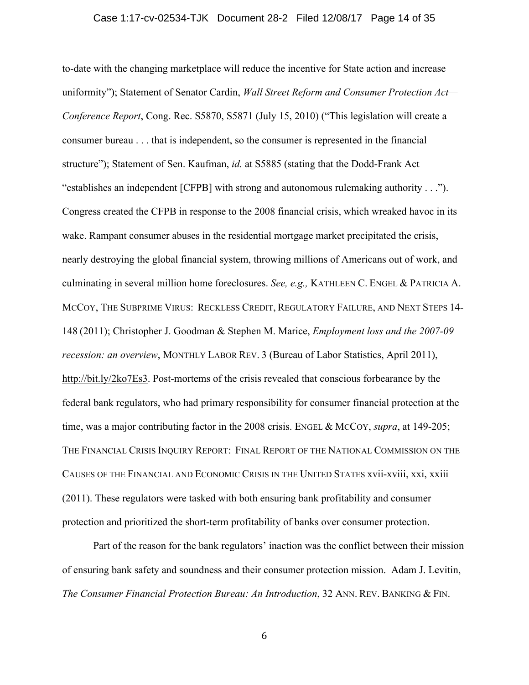#### Case 1:17-cv-02534-TJK Document 28-2 Filed 12/08/17 Page 14 of 35

to-date with the changing marketplace will reduce the incentive for State action and increase uniformity"); Statement of Senator Cardin, *Wall Street Reform and Consumer Protection Act— Conference Report*, Cong. Rec. S5870, S5871 (July 15, 2010) ("This legislation will create a consumer bureau . . . that is independent, so the consumer is represented in the financial structure"); Statement of Sen. Kaufman, *id.* at S5885 (stating that the Dodd-Frank Act "establishes an independent [CFPB] with strong and autonomous rulemaking authority . . ."). Congress created the CFPB in response to the 2008 financial crisis, which wreaked havoc in its wake. Rampant consumer abuses in the residential mortgage market precipitated the crisis, nearly destroying the global financial system, throwing millions of Americans out of work, and culminating in several million home foreclosures. *See, e.g.,* KATHLEEN C. ENGEL & PATRICIA A. MCCOY, THE SUBPRIME VIRUS: RECKLESS CREDIT, REGULATORY FAILURE, AND NEXT STEPS 14- 148 (2011); Christopher J. Goodman & Stephen M. Marice, *Employment loss and the 2007-09 recession: an overview*, MONTHLY LABOR REV. 3 (Bureau of Labor Statistics, April 2011), http://bit.ly/2ko7Es3. Post-mortems of the crisis revealed that conscious forbearance by the federal bank regulators, who had primary responsibility for consumer financial protection at the time, was a major contributing factor in the 2008 crisis. ENGEL & MCCOY, *supra*, at 149-205; THE FINANCIAL CRISIS INQUIRY REPORT: FINAL REPORT OF THE NATIONAL COMMISSION ON THE CAUSES OF THE FINANCIAL AND ECONOMIC CRISIS IN THE UNITED STATES xvii-xviii, xxi, xxiii (2011). These regulators were tasked with both ensuring bank profitability and consumer protection and prioritized the short-term profitability of banks over consumer protection.

Part of the reason for the bank regulators' inaction was the conflict between their mission of ensuring bank safety and soundness and their consumer protection mission. Adam J. Levitin, *The Consumer Financial Protection Bureau: An Introduction*, 32 ANN. REV. BANKING & FIN.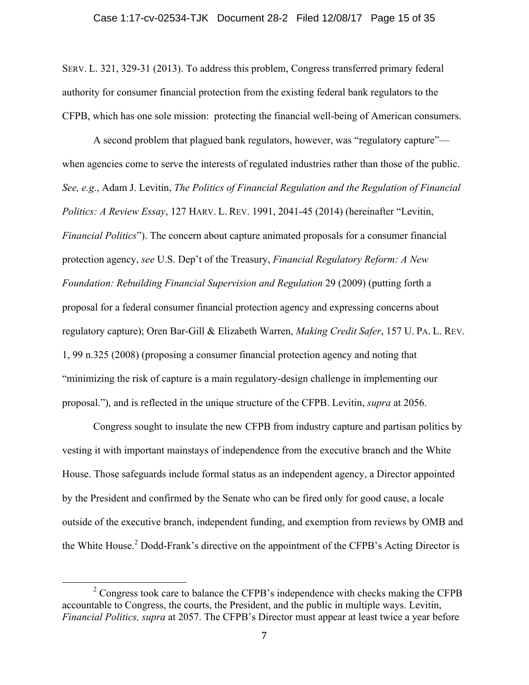SERV. L. 321, 329-31 (2013). To address this problem, Congress transferred primary federal authority for consumer financial protection from the existing federal bank regulators to the CFPB, which has one sole mission: protecting the financial well-being of American consumers.

A second problem that plagued bank regulators, however, was "regulatory capture" when agencies come to serve the interests of regulated industries rather than those of the public. *See, e.g*., Adam J. Levitin, *The Politics of Financial Regulation and the Regulation of Financial Politics: A Review Essay*, 127 HARV. L. REV. 1991, 2041-45 (2014) (hereinafter "Levitin, *Financial Politics*"). The concern about capture animated proposals for a consumer financial protection agency, *see* U.S. Dep't of the Treasury, *Financial Regulatory Reform: A New Foundation: Rebuilding Financial Supervision and Regulation* 29 (2009) (putting forth a proposal for a federal consumer financial protection agency and expressing concerns about regulatory capture); Oren Bar-Gill & Elizabeth Warren, *Making Credit Safer*, 157 U. PA. L. REV. 1, 99 n.325 (2008) (proposing a consumer financial protection agency and noting that "minimizing the risk of capture is a main regulatory-design challenge in implementing our proposal."), and is reflected in the unique structure of the CFPB. Levitin, *supra* at 2056.

Congress sought to insulate the new CFPB from industry capture and partisan politics by vesting it with important mainstays of independence from the executive branch and the White House. Those safeguards include formal status as an independent agency, a Director appointed by the President and confirmed by the Senate who can be fired only for good cause, a locale outside of the executive branch, independent funding, and exemption from reviews by OMB and the White House.<sup>2</sup> Dodd-Frank's directive on the appointment of the CFPB's Acting Director is

<sup>&</sup>lt;sup>2</sup> Congress took care to balance the CFPB's independence with checks making the CFPB accountable to Congress, the courts, the President, and the public in multiple ways. Levitin, *Financial Politics, supra* at 2057. The CFPB's Director must appear at least twice a year before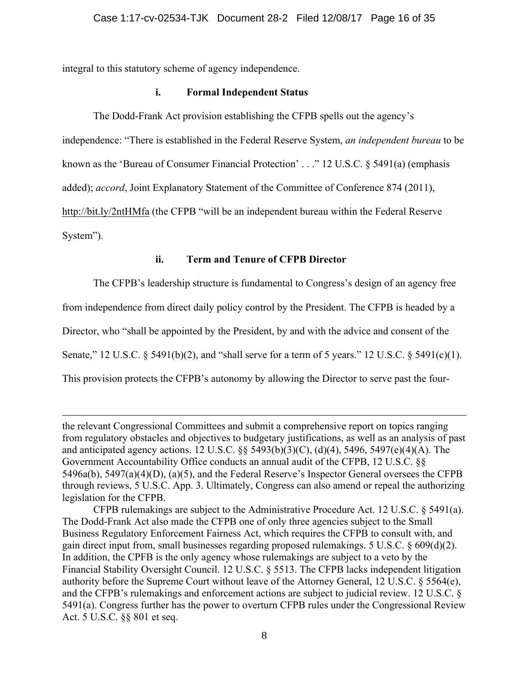integral to this statutory scheme of agency independence.

## **i. Formal Independent Status**

The Dodd-Frank Act provision establishing the CFPB spells out the agency's independence: "There is established in the Federal Reserve System, *an independent bureau* to be known as the 'Bureau of Consumer Financial Protection' . . ." 12 U.S.C. § 5491(a) (emphasis added); *accord*, Joint Explanatory Statement of the Committee of Conference 874 (2011), http://bit.ly/2ntHMfa (the CFPB "will be an independent bureau within the Federal Reserve

System").

## **ii. Term and Tenure of CFPB Director**

The CFPB's leadership structure is fundamental to Congress's design of an agency free

from independence from direct daily policy control by the President. The CFPB is headed by a

Director, who "shall be appointed by the President, by and with the advice and consent of the

Senate," 12 U.S.C. § 5491(b)(2), and "shall serve for a term of 5 years." 12 U.S.C. § 5491(c)(1).

This provision protects the CFPB's autonomy by allowing the Director to serve past the four-

the relevant Congressional Committees and submit a comprehensive report on topics ranging from regulatory obstacles and objectives to budgetary justifications, as well as an analysis of past and anticipated agency actions. 12 U.S.C. §§ 5493(b)(3)(C), (d)(4), 5496, 5497(e)(4)(A). The Government Accountability Office conducts an annual audit of the CFPB, 12 U.S.C. §§ 5496a(b), 5497(a)(4)(D), (a)(5), and the Federal Reserve's Inspector General oversees the CFPB through reviews, 5 U.S.C. App. 3. Ultimately, Congress can also amend or repeal the authorizing legislation for the CFPB.

<u> 1989 - Andrea San Andrea San Andrea San Andrea San Andrea San Andrea San Andrea San Andrea San Andrea San An</u>

CFPB rulemakings are subject to the Administrative Procedure Act. 12 U.S.C.  $\S$  5491(a). The Dodd-Frank Act also made the CFPB one of only three agencies subject to the Small Business Regulatory Enforcement Fairness Act, which requires the CFPB to consult with, and gain direct input from, small businesses regarding proposed rulemakings. 5 U.S.C. § 609(d)(2). In addition, the CPFB is the only agency whose rulemakings are subject to a veto by the Financial Stability Oversight Council. 12 U.S.C. § 5513. The CFPB lacks independent litigation authority before the Supreme Court without leave of the Attorney General, 12 U.S.C. § 5564(e), and the CFPB's rulemakings and enforcement actions are subject to judicial review. 12 U.S.C. § 5491(a). Congress further has the power to overturn CFPB rules under the Congressional Review Act. 5 U.S.C. §§ 801 et seq.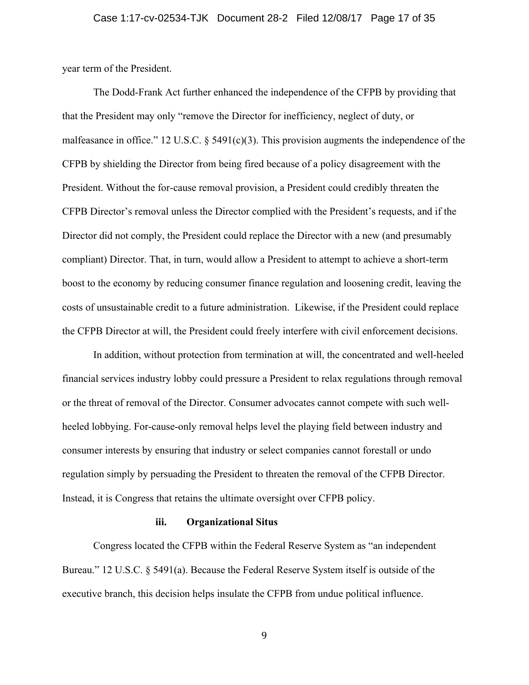year term of the President.

The Dodd-Frank Act further enhanced the independence of the CFPB by providing that that the President may only "remove the Director for inefficiency, neglect of duty, or malfeasance in office." 12 U.S.C. § 5491(c)(3). This provision augments the independence of the CFPB by shielding the Director from being fired because of a policy disagreement with the President. Without the for-cause removal provision, a President could credibly threaten the CFPB Director's removal unless the Director complied with the President's requests, and if the Director did not comply, the President could replace the Director with a new (and presumably compliant) Director. That, in turn, would allow a President to attempt to achieve a short-term boost to the economy by reducing consumer finance regulation and loosening credit, leaving the costs of unsustainable credit to a future administration. Likewise, if the President could replace the CFPB Director at will, the President could freely interfere with civil enforcement decisions.

In addition, without protection from termination at will, the concentrated and well-heeled financial services industry lobby could pressure a President to relax regulations through removal or the threat of removal of the Director. Consumer advocates cannot compete with such wellheeled lobbying. For-cause-only removal helps level the playing field between industry and consumer interests by ensuring that industry or select companies cannot forestall or undo regulation simply by persuading the President to threaten the removal of the CFPB Director. Instead, it is Congress that retains the ultimate oversight over CFPB policy.

#### **iii. Organizational Situs**

Congress located the CFPB within the Federal Reserve System as "an independent Bureau." 12 U.S.C. § 5491(a). Because the Federal Reserve System itself is outside of the executive branch, this decision helps insulate the CFPB from undue political influence.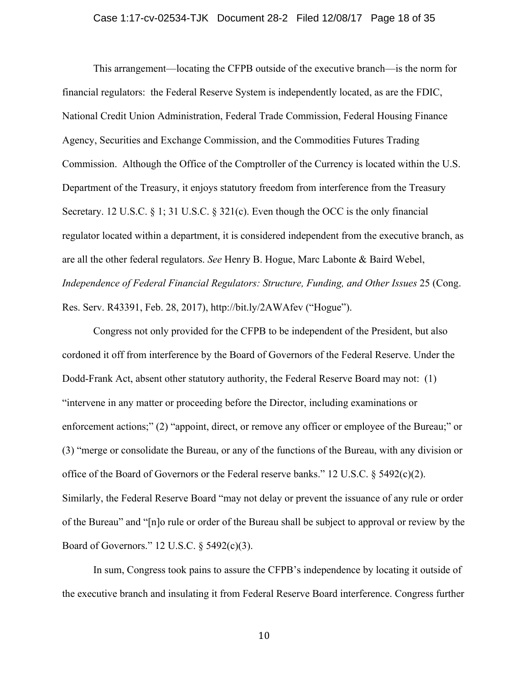This arrangement—locating the CFPB outside of the executive branch—is the norm for financial regulators: the Federal Reserve System is independently located, as are the FDIC, National Credit Union Administration, Federal Trade Commission, Federal Housing Finance Agency, Securities and Exchange Commission, and the Commodities Futures Trading Commission. Although the Office of the Comptroller of the Currency is located within the U.S. Department of the Treasury, it enjoys statutory freedom from interference from the Treasury Secretary. 12 U.S.C. § 1; 31 U.S.C. § 321(c). Even though the OCC is the only financial regulator located within a department, it is considered independent from the executive branch, as are all the other federal regulators. *See* Henry B. Hogue, Marc Labonte & Baird Webel, *Independence of Federal Financial Regulators: Structure, Funding, and Other Issues* 25 (Cong. Res. Serv. R43391, Feb. 28, 2017), http://bit.ly/2AWAfev ("Hogue").

Congress not only provided for the CFPB to be independent of the President, but also cordoned it off from interference by the Board of Governors of the Federal Reserve. Under the Dodd-Frank Act, absent other statutory authority, the Federal Reserve Board may not: (1) "intervene in any matter or proceeding before the Director, including examinations or enforcement actions;" (2) "appoint, direct, or remove any officer or employee of the Bureau;" or (3) "merge or consolidate the Bureau, or any of the functions of the Bureau, with any division or office of the Board of Governors or the Federal reserve banks." 12 U.S.C. § 5492(c)(2). Similarly, the Federal Reserve Board "may not delay or prevent the issuance of any rule or order of the Bureau" and "[n]o rule or order of the Bureau shall be subject to approval or review by the Board of Governors." 12 U.S.C. § 5492(c)(3).

In sum, Congress took pains to assure the CFPB's independence by locating it outside of the executive branch and insulating it from Federal Reserve Board interference. Congress further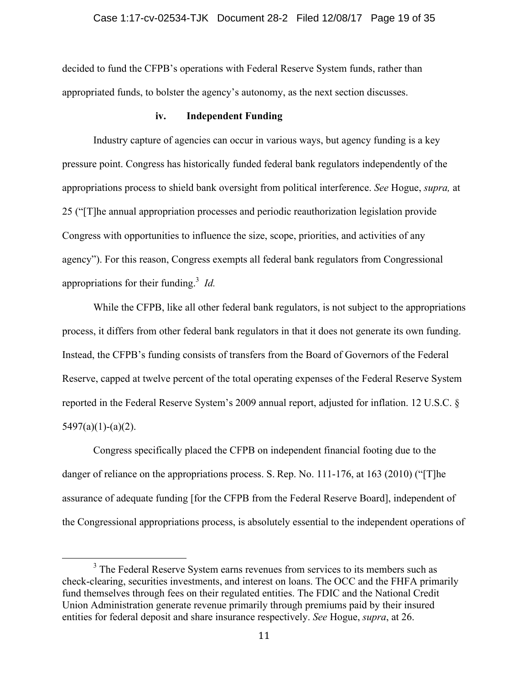decided to fund the CFPB's operations with Federal Reserve System funds, rather than appropriated funds, to bolster the agency's autonomy, as the next section discusses.

#### **iv. Independent Funding**

Industry capture of agencies can occur in various ways, but agency funding is a key pressure point. Congress has historically funded federal bank regulators independently of the appropriations process to shield bank oversight from political interference. *See* Hogue, *supra,* at 25 ("[T]he annual appropriation processes and periodic reauthorization legislation provide Congress with opportunities to influence the size, scope, priorities, and activities of any agency"). For this reason, Congress exempts all federal bank regulators from Congressional appropriations for their funding.<sup>3</sup> *Id.* 

While the CFPB, like all other federal bank regulators, is not subject to the appropriations process, it differs from other federal bank regulators in that it does not generate its own funding. Instead, the CFPB's funding consists of transfers from the Board of Governors of the Federal Reserve, capped at twelve percent of the total operating expenses of the Federal Reserve System reported in the Federal Reserve System's 2009 annual report, adjusted for inflation. 12 U.S.C. §  $5497(a)(1)-(a)(2)$ .

Congress specifically placed the CFPB on independent financial footing due to the danger of reliance on the appropriations process. S. Rep. No. 111-176, at 163 (2010) ("The assurance of adequate funding [for the CFPB from the Federal Reserve Board], independent of the Congressional appropriations process, is absolutely essential to the independent operations of

 $3$  The Federal Reserve System earns revenues from services to its members such as check-clearing, securities investments, and interest on loans. The OCC and the FHFA primarily fund themselves through fees on their regulated entities. The FDIC and the National Credit Union Administration generate revenue primarily through premiums paid by their insured entities for federal deposit and share insurance respectively. *See* Hogue, *supra*, at 26.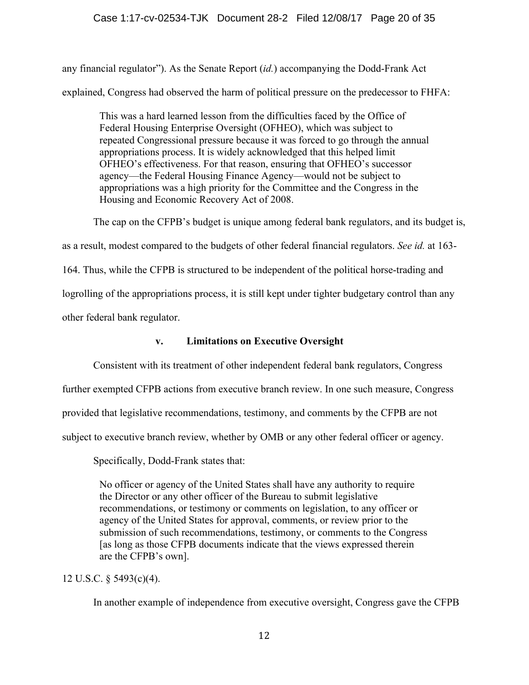any financial regulator"). As the Senate Report (*id.*) accompanying the Dodd-Frank Act explained, Congress had observed the harm of political pressure on the predecessor to FHFA:

This was a hard learned lesson from the difficulties faced by the Office of Federal Housing Enterprise Oversight (OFHEO), which was subject to repeated Congressional pressure because it was forced to go through the annual appropriations process. It is widely acknowledged that this helped limit OFHEO's effectiveness. For that reason, ensuring that OFHEO's successor agency—the Federal Housing Finance Agency—would not be subject to appropriations was a high priority for the Committee and the Congress in the Housing and Economic Recovery Act of 2008.

The cap on the CFPB's budget is unique among federal bank regulators, and its budget is,

as a result, modest compared to the budgets of other federal financial regulators. *See id.* at 163-

164. Thus, while the CFPB is structured to be independent of the political horse-trading and

logrolling of the appropriations process, it is still kept under tighter budgetary control than any

other federal bank regulator.

## **v. Limitations on Executive Oversight**

Consistent with its treatment of other independent federal bank regulators, Congress

further exempted CFPB actions from executive branch review. In one such measure, Congress

provided that legislative recommendations, testimony, and comments by the CFPB are not

subject to executive branch review, whether by OMB or any other federal officer or agency.

Specifically, Dodd-Frank states that:

No officer or agency of the United States shall have any authority to require the Director or any other officer of the Bureau to submit legislative recommendations, or testimony or comments on legislation, to any officer or agency of the United States for approval, comments, or review prior to the submission of such recommendations, testimony, or comments to the Congress [as long as those CFPB documents indicate that the views expressed therein are the CFPB's own].

12 U.S.C. § 5493(c)(4).

In another example of independence from executive oversight, Congress gave the CFPB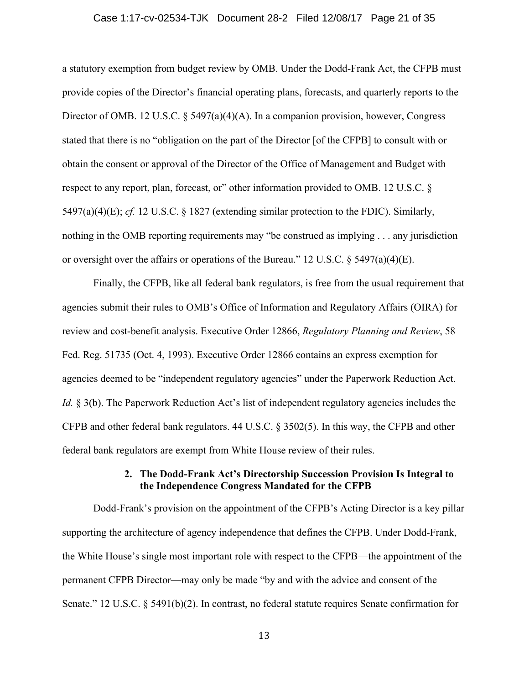#### Case 1:17-cv-02534-TJK Document 28-2 Filed 12/08/17 Page 21 of 35

a statutory exemption from budget review by OMB. Under the Dodd-Frank Act, the CFPB must provide copies of the Director's financial operating plans, forecasts, and quarterly reports to the Director of OMB. 12 U.S.C. § 5497(a)(4)(A). In a companion provision, however, Congress stated that there is no "obligation on the part of the Director [of the CFPB] to consult with or obtain the consent or approval of the Director of the Office of Management and Budget with respect to any report, plan, forecast, or" other information provided to OMB. 12 U.S.C. § 5497(a)(4)(E); *cf.* 12 U.S.C. § 1827 (extending similar protection to the FDIC). Similarly, nothing in the OMB reporting requirements may "be construed as implying . . . any jurisdiction or oversight over the affairs or operations of the Bureau." 12 U.S.C. § 5497(a)(4)(E).

Finally, the CFPB, like all federal bank regulators, is free from the usual requirement that agencies submit their rules to OMB's Office of Information and Regulatory Affairs (OIRA) for review and cost-benefit analysis. Executive Order 12866, *Regulatory Planning and Review*, 58 Fed. Reg. 51735 (Oct. 4, 1993). Executive Order 12866 contains an express exemption for agencies deemed to be "independent regulatory agencies" under the Paperwork Reduction Act. *Id.* § 3(b). The Paperwork Reduction Act's list of independent regulatory agencies includes the CFPB and other federal bank regulators. 44 U.S.C. § 3502(5). In this way, the CFPB and other federal bank regulators are exempt from White House review of their rules.

## **2. The Dodd-Frank Act's Directorship Succession Provision Is Integral to the Independence Congress Mandated for the CFPB**

Dodd-Frank's provision on the appointment of the CFPB's Acting Director is a key pillar supporting the architecture of agency independence that defines the CFPB. Under Dodd-Frank, the White House's single most important role with respect to the CFPB—the appointment of the permanent CFPB Director—may only be made "by and with the advice and consent of the Senate." 12 U.S.C. § 5491(b)(2). In contrast, no federal statute requires Senate confirmation for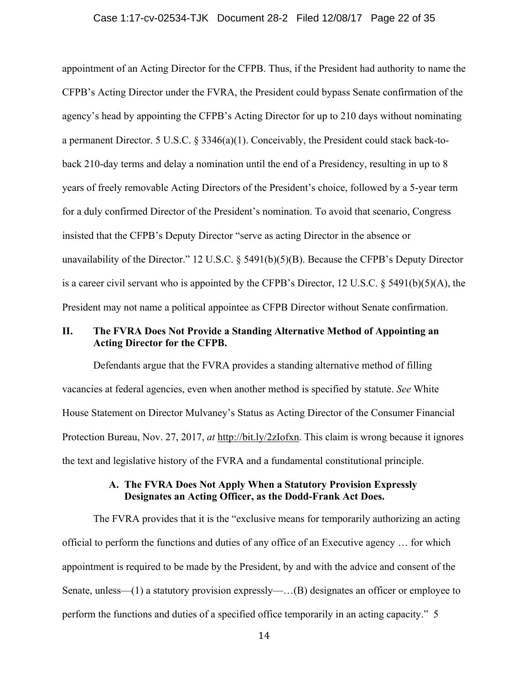#### Case 1:17-cv-02534-TJK Document 28-2 Filed 12/08/17 Page 22 of 35

appointment of an Acting Director for the CFPB. Thus, if the President had authority to name the CFPB's Acting Director under the FVRA, the President could bypass Senate confirmation of the agency's head by appointing the CFPB's Acting Director for up to 210 days without nominating a permanent Director. 5 U.S.C. § 3346(a)(1). Conceivably, the President could stack back-toback 210-day terms and delay a nomination until the end of a Presidency, resulting in up to 8 years of freely removable Acting Directors of the President's choice, followed by a 5-year term for a duly confirmed Director of the President's nomination. To avoid that scenario, Congress insisted that the CFPB's Deputy Director "serve as acting Director in the absence or unavailability of the Director." 12 U.S.C. § 5491(b)(5)(B). Because the CFPB's Deputy Director is a career civil servant who is appointed by the CFPB's Director, 12 U.S.C.  $\S$  5491(b)(5)(A), the President may not name a political appointee as CFPB Director without Senate confirmation.

## **II. The FVRA Does Not Provide a Standing Alternative Method of Appointing an Acting Director for the CFPB.**

Defendants argue that the FVRA provides a standing alternative method of filling vacancies at federal agencies, even when another method is specified by statute. *See* White House Statement on Director Mulvaney's Status as Acting Director of the Consumer Financial Protection Bureau, Nov. 27, 2017, *at* http://bit.ly/2zIofxn. This claim is wrong because it ignores the text and legislative history of the FVRA and a fundamental constitutional principle.

## **A. The FVRA Does Not Apply When a Statutory Provision Expressly Designates an Acting Officer, as the Dodd-Frank Act Does.**

The FVRA provides that it is the "exclusive means for temporarily authorizing an acting official to perform the functions and duties of any office of an Executive agency … for which appointment is required to be made by the President, by and with the advice and consent of the Senate, unless—(1) a statutory provision expressly—…(B) designates an officer or employee to perform the functions and duties of a specified office temporarily in an acting capacity." 5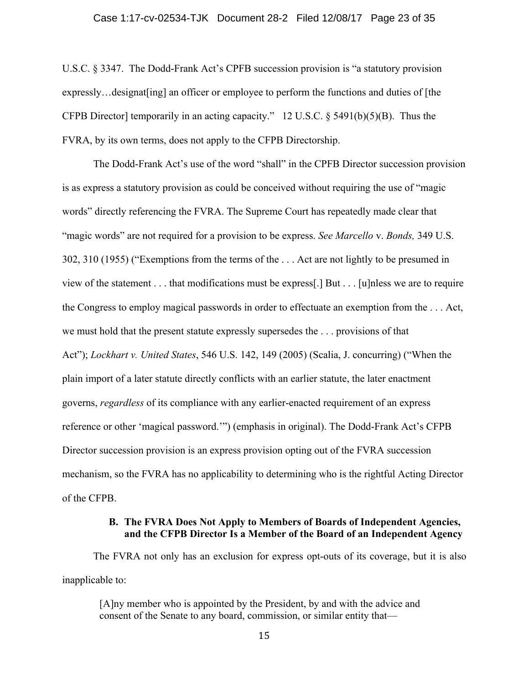U.S.C. § 3347. The Dodd-Frank Act's CPFB succession provision is "a statutory provision expressly…designat[ing] an officer or employee to perform the functions and duties of [the CFPB Director] temporarily in an acting capacity." 12 U.S.C.  $\S$  5491(b)(5)(B). Thus the FVRA, by its own terms, does not apply to the CFPB Directorship.

The Dodd-Frank Act's use of the word "shall" in the CPFB Director succession provision is as express a statutory provision as could be conceived without requiring the use of "magic words" directly referencing the FVRA. The Supreme Court has repeatedly made clear that "magic words" are not required for a provision to be express. *See Marcello* v. *Bonds,* 349 U.S. 302, 310 (1955) ("Exemptions from the terms of the . . . Act are not lightly to be presumed in view of the statement . . . that modifications must be express[.] But . . . [u]nless we are to require the Congress to employ magical passwords in order to effectuate an exemption from the . . . Act, we must hold that the present statute expressly supersedes the . . . provisions of that Act"); *Lockhart v. United States*, 546 U.S. 142, 149 (2005) (Scalia, J. concurring) ("When the plain import of a later statute directly conflicts with an earlier statute, the later enactment governs, *regardless* of its compliance with any earlier-enacted requirement of an express reference or other 'magical password.'") (emphasis in original). The Dodd-Frank Act's CFPB Director succession provision is an express provision opting out of the FVRA succession mechanism, so the FVRA has no applicability to determining who is the rightful Acting Director of the CFPB.

## **B. The FVRA Does Not Apply to Members of Boards of Independent Agencies, and the CFPB Director Is a Member of the Board of an Independent Agency**

The FVRA not only has an exclusion for express opt-outs of its coverage, but it is also inapplicable to:

[A]ny member who is appointed by the President, by and with the advice and consent of the Senate to any board, commission, or similar entity that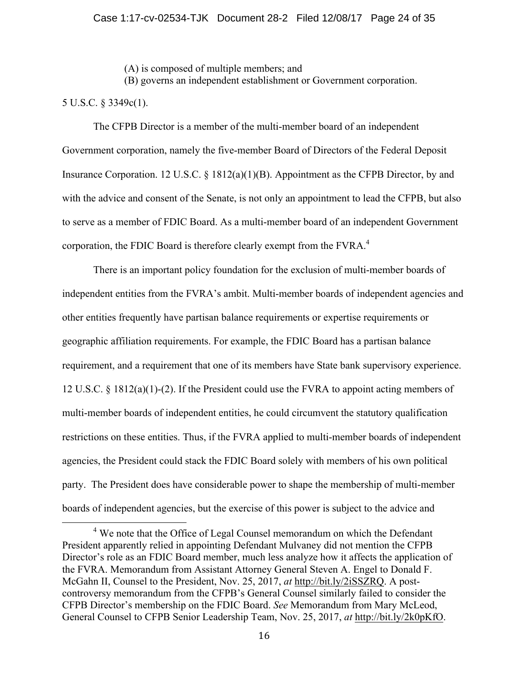(A) is composed of multiple members; and

(B) governs an independent establishment or Government corporation.

## 5 U.S.C. § 3349c(1).

The CFPB Director is a member of the multi-member board of an independent Government corporation, namely the five-member Board of Directors of the Federal Deposit Insurance Corporation. 12 U.S.C. § 1812(a)(1)(B). Appointment as the CFPB Director, by and with the advice and consent of the Senate, is not only an appointment to lead the CFPB, but also to serve as a member of FDIC Board. As a multi-member board of an independent Government corporation, the FDIC Board is therefore clearly exempt from the FVRA.<sup>4</sup>

There is an important policy foundation for the exclusion of multi-member boards of independent entities from the FVRA's ambit. Multi-member boards of independent agencies and other entities frequently have partisan balance requirements or expertise requirements or geographic affiliation requirements. For example, the FDIC Board has a partisan balance requirement, and a requirement that one of its members have State bank supervisory experience. 12 U.S.C. § 1812(a)(1)-(2). If the President could use the FVRA to appoint acting members of multi-member boards of independent entities, he could circumvent the statutory qualification restrictions on these entities. Thus, if the FVRA applied to multi-member boards of independent agencies, the President could stack the FDIC Board solely with members of his own political party. The President does have considerable power to shape the membership of multi-member boards of independent agencies, but the exercise of this power is subject to the advice and

<sup>&</sup>lt;sup>4</sup> We note that the Office of Legal Counsel memorandum on which the Defendant President apparently relied in appointing Defendant Mulvaney did not mention the CFPB Director's role as an FDIC Board member, much less analyze how it affects the application of the FVRA. Memorandum from Assistant Attorney General Steven A. Engel to Donald F. McGahn II, Counsel to the President, Nov. 25, 2017, *at* http://bit.ly/2iSSZRQ. A postcontroversy memorandum from the CFPB's General Counsel similarly failed to consider the CFPB Director's membership on the FDIC Board. *See* Memorandum from Mary McLeod, General Counsel to CFPB Senior Leadership Team, Nov. 25, 2017, *at* http://bit.ly/2k0pKfO.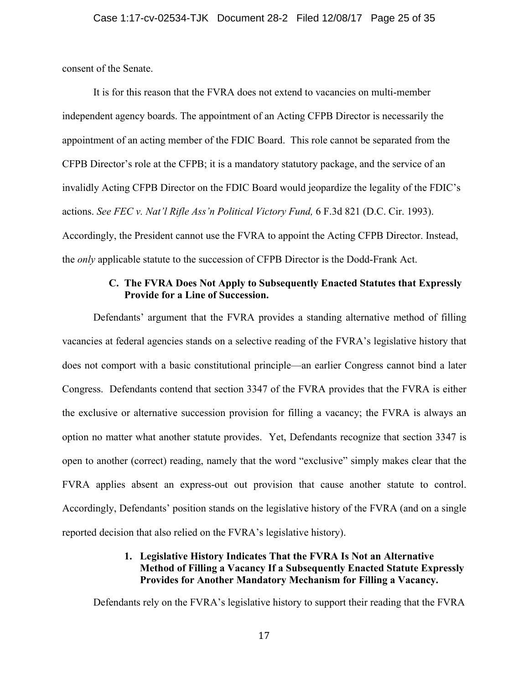consent of the Senate.

It is for this reason that the FVRA does not extend to vacancies on multi-member independent agency boards. The appointment of an Acting CFPB Director is necessarily the appointment of an acting member of the FDIC Board. This role cannot be separated from the CFPB Director's role at the CFPB; it is a mandatory statutory package, and the service of an invalidly Acting CFPB Director on the FDIC Board would jeopardize the legality of the FDIC's actions. *See FEC v. Nat'l Rifle Ass'n Political Victory Fund,* 6 F.3d 821 (D.C. Cir. 1993). Accordingly, the President cannot use the FVRA to appoint the Acting CFPB Director. Instead, the *only* applicable statute to the succession of CFPB Director is the Dodd-Frank Act.

## **C. The FVRA Does Not Apply to Subsequently Enacted Statutes that Expressly Provide for a Line of Succession.**

Defendants' argument that the FVRA provides a standing alternative method of filling vacancies at federal agencies stands on a selective reading of the FVRA's legislative history that does not comport with a basic constitutional principle—an earlier Congress cannot bind a later Congress. Defendants contend that section 3347 of the FVRA provides that the FVRA is either the exclusive or alternative succession provision for filling a vacancy; the FVRA is always an option no matter what another statute provides. Yet, Defendants recognize that section 3347 is open to another (correct) reading, namely that the word "exclusive" simply makes clear that the FVRA applies absent an express-out out provision that cause another statute to control. Accordingly, Defendants' position stands on the legislative history of the FVRA (and on a single reported decision that also relied on the FVRA's legislative history).

## **1. Legislative History Indicates That the FVRA Is Not an Alternative Method of Filling a Vacancy If a Subsequently Enacted Statute Expressly Provides for Another Mandatory Mechanism for Filling a Vacancy.**

Defendants rely on the FVRA's legislative history to support their reading that the FVRA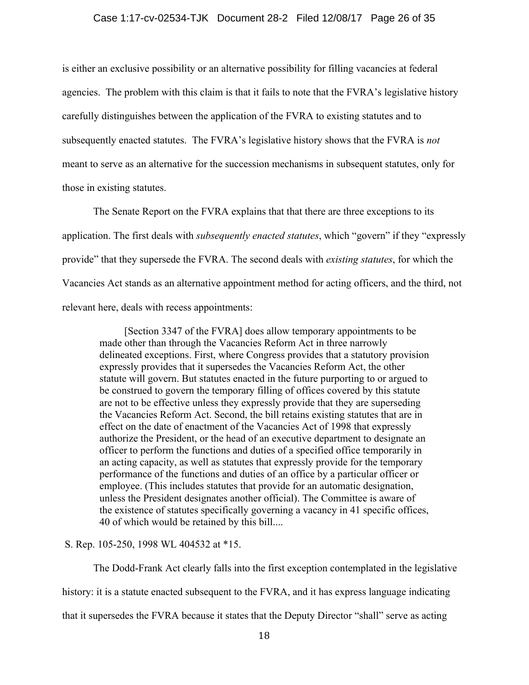#### Case 1:17-cv-02534-TJK Document 28-2 Filed 12/08/17 Page 26 of 35

is either an exclusive possibility or an alternative possibility for filling vacancies at federal agencies. The problem with this claim is that it fails to note that the FVRA's legislative history carefully distinguishes between the application of the FVRA to existing statutes and to subsequently enacted statutes. The FVRA's legislative history shows that the FVRA is *not*  meant to serve as an alternative for the succession mechanisms in subsequent statutes, only for those in existing statutes.

The Senate Report on the FVRA explains that that there are three exceptions to its application. The first deals with *subsequently enacted statutes*, which "govern" if they "expressly provide" that they supersede the FVRA. The second deals with *existing statutes*, for which the Vacancies Act stands as an alternative appointment method for acting officers, and the third, not relevant here, deals with recess appointments:

[Section 3347 of the FVRA] does allow temporary appointments to be made other than through the Vacancies Reform Act in three narrowly delineated exceptions. First, where Congress provides that a statutory provision expressly provides that it supersedes the Vacancies Reform Act, the other statute will govern. But statutes enacted in the future purporting to or argued to be construed to govern the temporary filling of offices covered by this statute are not to be effective unless they expressly provide that they are superseding the Vacancies Reform Act. Second, the bill retains existing statutes that are in effect on the date of enactment of the Vacancies Act of 1998 that expressly authorize the President, or the head of an executive department to designate an officer to perform the functions and duties of a specified office temporarily in an acting capacity, as well as statutes that expressly provide for the temporary performance of the functions and duties of an office by a particular officer or employee. (This includes statutes that provide for an automatic designation, unless the President designates another official). The Committee is aware of the existence of statutes specifically governing a vacancy in 41 specific offices, 40 of which would be retained by this bill....

S. Rep. 105-250, 1998 WL 404532 at \*15.

The Dodd-Frank Act clearly falls into the first exception contemplated in the legislative history: it is a statute enacted subsequent to the FVRA, and it has express language indicating that it supersedes the FVRA because it states that the Deputy Director "shall" serve as acting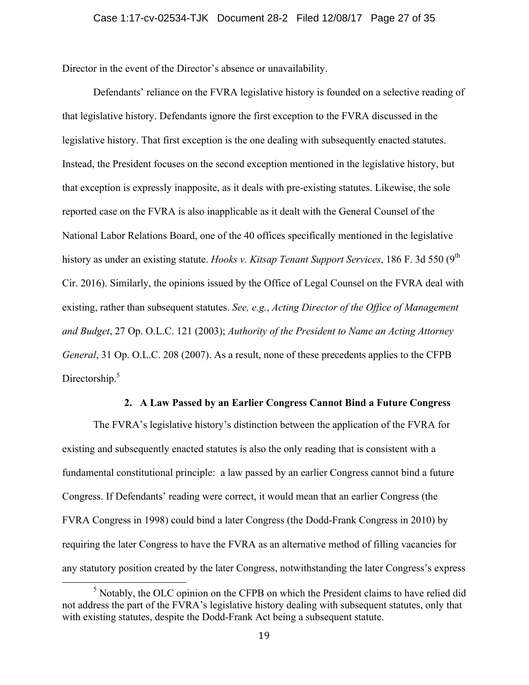Director in the event of the Director's absence or unavailability.

Defendants' reliance on the FVRA legislative history is founded on a selective reading of that legislative history. Defendants ignore the first exception to the FVRA discussed in the legislative history. That first exception is the one dealing with subsequently enacted statutes. Instead, the President focuses on the second exception mentioned in the legislative history, but that exception is expressly inapposite, as it deals with pre-existing statutes. Likewise, the sole reported case on the FVRA is also inapplicable as it dealt with the General Counsel of the National Labor Relations Board, one of the 40 offices specifically mentioned in the legislative history as under an existing statute. *Hooks v. Kitsap Tenant Support Services*, 186 F. 3d 550 (9<sup>th</sup>) Cir. 2016). Similarly, the opinions issued by the Office of Legal Counsel on the FVRA deal with existing, rather than subsequent statutes. *See, e.g.*, *Acting Director of the Office of Management and Budget*, 27 Op. O.L.C. 121 (2003); *Authority of the President to Name an Acting Attorney General*, 31 Op. O.L.C. 208 (2007). As a result, none of these precedents applies to the CFPB Directorship.<sup>5</sup>

#### **2. A Law Passed by an Earlier Congress Cannot Bind a Future Congress**

The FVRA's legislative history's distinction between the application of the FVRA for existing and subsequently enacted statutes is also the only reading that is consistent with a fundamental constitutional principle: a law passed by an earlier Congress cannot bind a future Congress. If Defendants' reading were correct, it would mean that an earlier Congress (the FVRA Congress in 1998) could bind a later Congress (the Dodd-Frank Congress in 2010) by requiring the later Congress to have the FVRA as an alternative method of filling vacancies for any statutory position created by the later Congress, notwithstanding the later Congress's express

<sup>&</sup>lt;sup>5</sup> Notably, the OLC opinion on the CFPB on which the President claims to have relied did not address the part of the FVRA's legislative history dealing with subsequent statutes, only that with existing statutes, despite the Dodd-Frank Act being a subsequent statute.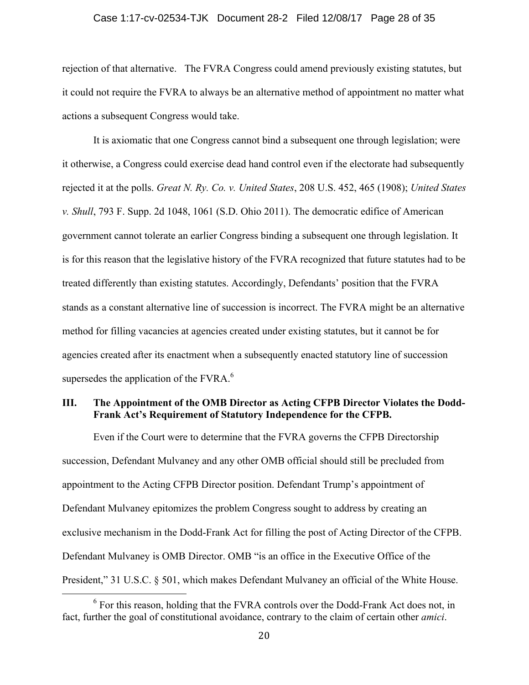#### Case 1:17-cv-02534-TJK Document 28-2 Filed 12/08/17 Page 28 of 35

rejection of that alternative. The FVRA Congress could amend previously existing statutes, but it could not require the FVRA to always be an alternative method of appointment no matter what actions a subsequent Congress would take.

It is axiomatic that one Congress cannot bind a subsequent one through legislation; were it otherwise, a Congress could exercise dead hand control even if the electorate had subsequently rejected it at the polls. *Great N. Ry. Co. v. United States*, 208 U.S. 452, 465 (1908); *United States v. Shull*, 793 F. Supp. 2d 1048, 1061 (S.D. Ohio 2011). The democratic edifice of American government cannot tolerate an earlier Congress binding a subsequent one through legislation. It is for this reason that the legislative history of the FVRA recognized that future statutes had to be treated differently than existing statutes. Accordingly, Defendants' position that the FVRA stands as a constant alternative line of succession is incorrect. The FVRA might be an alternative method for filling vacancies at agencies created under existing statutes, but it cannot be for agencies created after its enactment when a subsequently enacted statutory line of succession supersedes the application of the FVRA.<sup>6</sup>

## **III. The Appointment of the OMB Director as Acting CFPB Director Violates the Dodd-Frank Act's Requirement of Statutory Independence for the CFPB.**

Even if the Court were to determine that the FVRA governs the CFPB Directorship succession, Defendant Mulvaney and any other OMB official should still be precluded from appointment to the Acting CFPB Director position. Defendant Trump's appointment of Defendant Mulvaney epitomizes the problem Congress sought to address by creating an exclusive mechanism in the Dodd-Frank Act for filling the post of Acting Director of the CFPB. Defendant Mulvaney is OMB Director. OMB "is an office in the Executive Office of the President," 31 U.S.C. § 501, which makes Defendant Mulvaney an official of the White House.

<sup>&</sup>lt;sup>6</sup> For this reason, holding that the FVRA controls over the Dodd-Frank Act does not, in fact, further the goal of constitutional avoidance, contrary to the claim of certain other *amici*.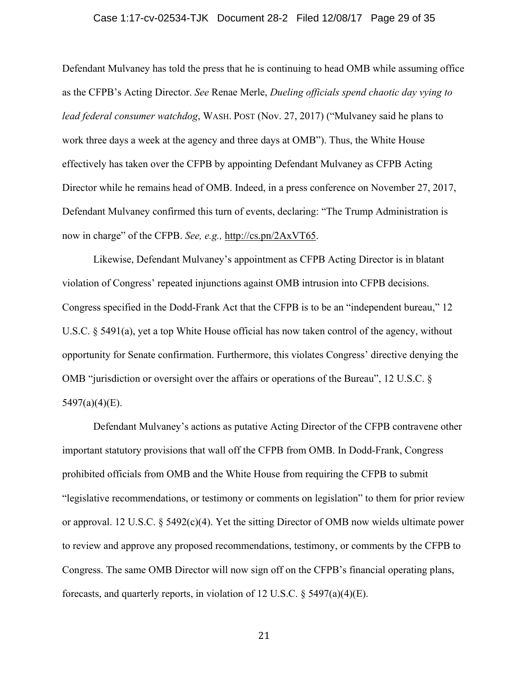#### Case 1:17-cv-02534-TJK Document 28-2 Filed 12/08/17 Page 29 of 35

Defendant Mulvaney has told the press that he is continuing to head OMB while assuming office as the CFPB's Acting Director. *See* Renae Merle, *Dueling officials spend chaotic day vying to lead federal consumer watchdog*, WASH. POST (Nov. 27, 2017) ("Mulvaney said he plans to work three days a week at the agency and three days at OMB"). Thus, the White House effectively has taken over the CFPB by appointing Defendant Mulvaney as CFPB Acting Director while he remains head of OMB. Indeed, in a press conference on November 27, 2017, Defendant Mulvaney confirmed this turn of events, declaring: "The Trump Administration is now in charge" of the CFPB. *See, e.g.,* http://cs.pn/2AxVT65.

Likewise, Defendant Mulvaney's appointment as CFPB Acting Director is in blatant violation of Congress' repeated injunctions against OMB intrusion into CFPB decisions. Congress specified in the Dodd-Frank Act that the CFPB is to be an "independent bureau," 12 U.S.C. § 5491(a), yet a top White House official has now taken control of the agency, without opportunity for Senate confirmation. Furthermore, this violates Congress' directive denying the OMB "jurisdiction or oversight over the affairs or operations of the Bureau", 12 U.S.C. §  $5497(a)(4)(E)$ .

Defendant Mulvaney's actions as putative Acting Director of the CFPB contravene other important statutory provisions that wall off the CFPB from OMB. In Dodd-Frank, Congress prohibited officials from OMB and the White House from requiring the CFPB to submit "legislative recommendations, or testimony or comments on legislation" to them for prior review or approval. 12 U.S.C. § 5492(c)(4). Yet the sitting Director of OMB now wields ultimate power to review and approve any proposed recommendations, testimony, or comments by the CFPB to Congress. The same OMB Director will now sign off on the CFPB's financial operating plans, forecasts, and quarterly reports, in violation of 12 U.S.C.  $\S$  5497(a)(4)(E).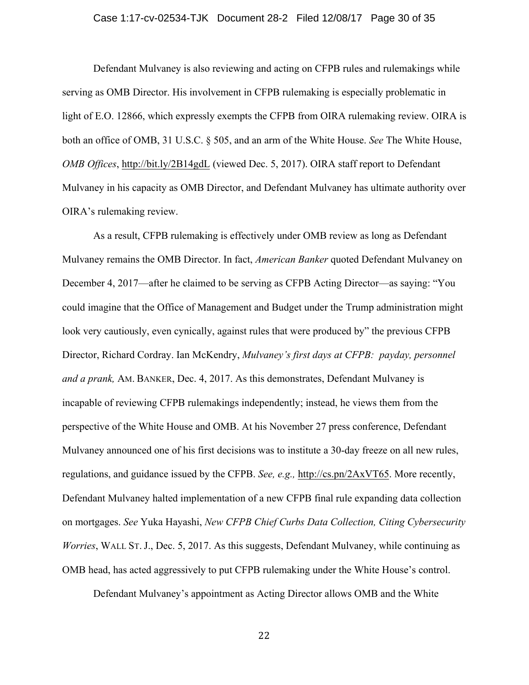#### Case 1:17-cv-02534-TJK Document 28-2 Filed 12/08/17 Page 30 of 35

Defendant Mulvaney is also reviewing and acting on CFPB rules and rulemakings while serving as OMB Director. His involvement in CFPB rulemaking is especially problematic in light of E.O. 12866, which expressly exempts the CFPB from OIRA rulemaking review. OIRA is both an office of OMB, 31 U.S.C. § 505, and an arm of the White House. *See* The White House, *OMB Offices*, http://bit.ly/2B14gdL (viewed Dec. 5, 2017). OIRA staff report to Defendant Mulvaney in his capacity as OMB Director, and Defendant Mulvaney has ultimate authority over OIRA's rulemaking review.

As a result, CFPB rulemaking is effectively under OMB review as long as Defendant Mulvaney remains the OMB Director. In fact, *American Banker* quoted Defendant Mulvaney on December 4, 2017—after he claimed to be serving as CFPB Acting Director—as saying: "You could imagine that the Office of Management and Budget under the Trump administration might look very cautiously, even cynically, against rules that were produced by" the previous CFPB Director, Richard Cordray. Ian McKendry, *Mulvaney's first days at CFPB: payday, personnel and a prank,* AM. BANKER, Dec. 4, 2017. As this demonstrates, Defendant Mulvaney is incapable of reviewing CFPB rulemakings independently; instead, he views them from the perspective of the White House and OMB. At his November 27 press conference, Defendant Mulvaney announced one of his first decisions was to institute a 30-day freeze on all new rules, regulations, and guidance issued by the CFPB. *See, e.g.,* http://cs.pn/2AxVT65. More recently, Defendant Mulvaney halted implementation of a new CFPB final rule expanding data collection on mortgages. *See* Yuka Hayashi, *New CFPB Chief Curbs Data Collection, Citing Cybersecurity Worries*, WALL ST. J., Dec. 5, 2017. As this suggests, Defendant Mulvaney, while continuing as OMB head, has acted aggressively to put CFPB rulemaking under the White House's control.

Defendant Mulvaney's appointment as Acting Director allows OMB and the White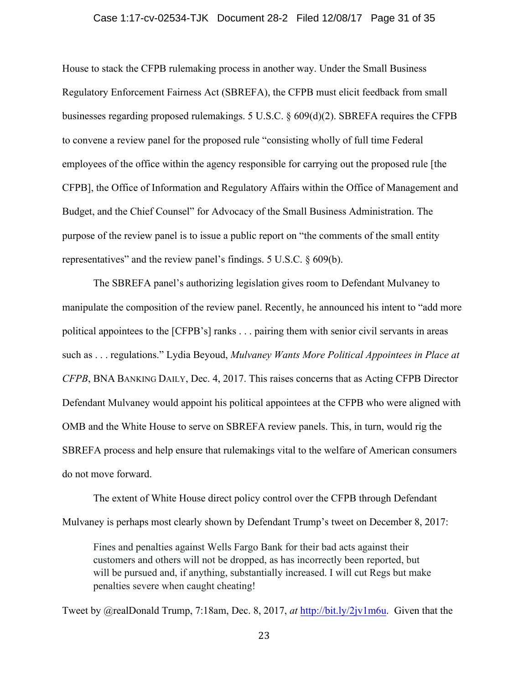#### Case 1:17-cv-02534-TJK Document 28-2 Filed 12/08/17 Page 31 of 35

House to stack the CFPB rulemaking process in another way. Under the Small Business Regulatory Enforcement Fairness Act (SBREFA), the CFPB must elicit feedback from small businesses regarding proposed rulemakings. 5 U.S.C. § 609(d)(2). SBREFA requires the CFPB to convene a review panel for the proposed rule "consisting wholly of full time Federal employees of the office within the agency responsible for carrying out the proposed rule [the CFPB], the Office of Information and Regulatory Affairs within the Office of Management and Budget, and the Chief Counsel" for Advocacy of the Small Business Administration. The purpose of the review panel is to issue a public report on "the comments of the small entity representatives" and the review panel's findings. 5 U.S.C. § 609(b).

The SBREFA panel's authorizing legislation gives room to Defendant Mulvaney to manipulate the composition of the review panel. Recently, he announced his intent to "add more political appointees to the [CFPB's] ranks . . . pairing them with senior civil servants in areas such as . . . regulations." Lydia Beyoud, *Mulvaney Wants More Political Appointees in Place at CFPB*, BNA BANKING DAILY, Dec. 4, 2017. This raises concerns that as Acting CFPB Director Defendant Mulvaney would appoint his political appointees at the CFPB who were aligned with OMB and the White House to serve on SBREFA review panels. This, in turn, would rig the SBREFA process and help ensure that rulemakings vital to the welfare of American consumers do not move forward.

The extent of White House direct policy control over the CFPB through Defendant Mulvaney is perhaps most clearly shown by Defendant Trump's tweet on December 8, 2017:

Fines and penalties against Wells Fargo Bank for their bad acts against their customers and others will not be dropped, as has incorrectly been reported, but will be pursued and, if anything, substantially increased. I will cut Regs but make penalties severe when caught cheating!

Tweet by @realDonald Trump, 7:18am, Dec. 8, 2017, *at* http://bit.ly/2jv1m6u. Given that the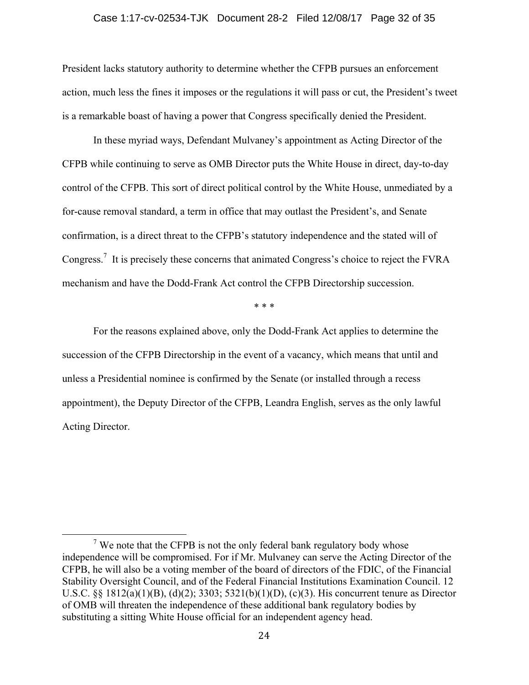#### Case 1:17-cv-02534-TJK Document 28-2 Filed 12/08/17 Page 32 of 35

President lacks statutory authority to determine whether the CFPB pursues an enforcement action, much less the fines it imposes or the regulations it will pass or cut, the President's tweet is a remarkable boast of having a power that Congress specifically denied the President.

In these myriad ways, Defendant Mulvaney's appointment as Acting Director of the CFPB while continuing to serve as OMB Director puts the White House in direct, day-to-day control of the CFPB. This sort of direct political control by the White House, unmediated by a for-cause removal standard, a term in office that may outlast the President's, and Senate confirmation, is a direct threat to the CFPB's statutory independence and the stated will of Congress.<sup>7</sup> It is precisely these concerns that animated Congress's choice to reject the FVRA mechanism and have the Dodd-Frank Act control the CFPB Directorship succession.

\* \* \*

For the reasons explained above, only the Dodd-Frank Act applies to determine the succession of the CFPB Directorship in the event of a vacancy, which means that until and unless a Presidential nominee is confirmed by the Senate (or installed through a recess appointment), the Deputy Director of the CFPB, Leandra English, serves as the only lawful Acting Director.

<sup>&</sup>lt;sup>7</sup> We note that the CFPB is not the only federal bank regulatory body whose independence will be compromised. For if Mr. Mulvaney can serve the Acting Director of the CFPB, he will also be a voting member of the board of directors of the FDIC, of the Financial Stability Oversight Council, and of the Federal Financial Institutions Examination Council. 12 U.S.C. §§ 1812(a)(1)(B), (d)(2); 3303; 5321(b)(1)(D), (c)(3). His concurrent tenure as Director of OMB will threaten the independence of these additional bank regulatory bodies by substituting a sitting White House official for an independent agency head.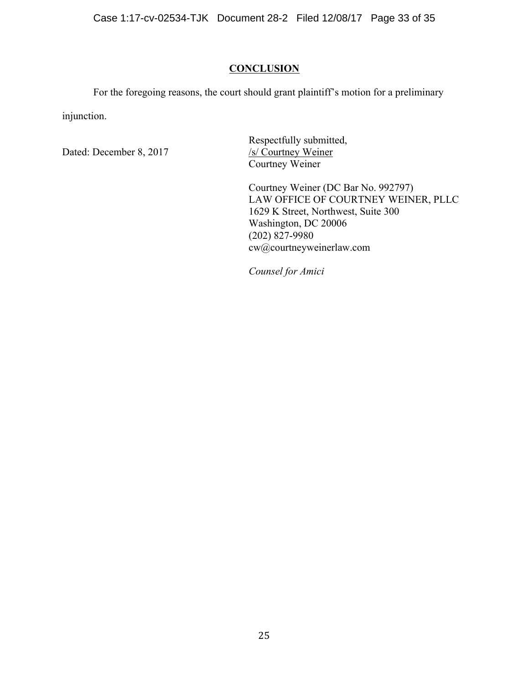## **CONCLUSION**

For the foregoing reasons, the court should grant plaintiff's motion for a preliminary injunction.

Dated: December 8, 2017

Respectfully submitted,<br>/s/ Courtney Weiner Courtney Weiner

Courtney Weiner (DC Bar No. 992797) LAW OFFICE OF COURTNEY WEINER, PLLC 1629 K Street, Northwest, Suite 300 Washington, DC 20006  $(202)$  827-9980 cw@courtneyweinerlaw.com

*Counsel for Amici*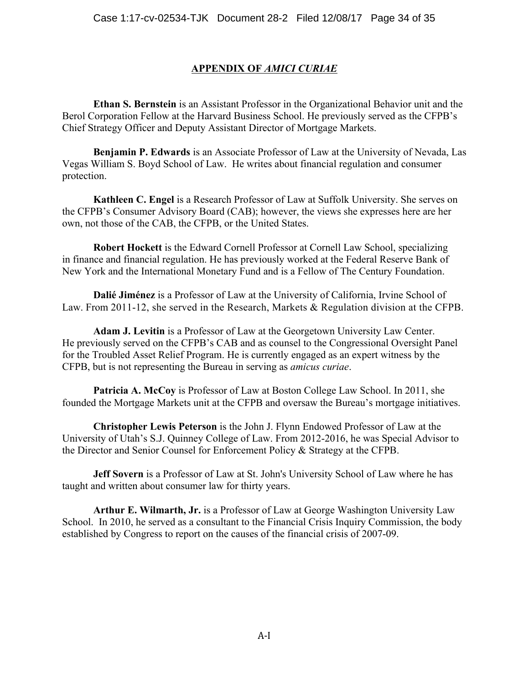## **APPENDIX OF** *AMICI CURIAE*

**Ethan S. Bernstein** is an Assistant Professor in the Organizational Behavior unit and the Berol Corporation Fellow at the Harvard Business School. He previously served as the CFPB's Chief Strategy Officer and Deputy Assistant Director of Mortgage Markets.

**Benjamin P. Edwards** is an Associate Professor of Law at the University of Nevada, Las Vegas William S. Boyd School of Law. He writes about financial regulation and consumer protection.

**Kathleen C. Engel** is a Research Professor of Law at Suffolk University. She serves on the CFPB's Consumer Advisory Board (CAB); however, the views she expresses here are her own, not those of the CAB, the CFPB, or the United States.

**Robert Hockett** is the Edward Cornell Professor at Cornell Law School, specializing in finance and financial regulation. He has previously worked at the Federal Reserve Bank of New York and the International Monetary Fund and is a Fellow of The Century Foundation.

**Dalié Jiménez** is a Professor of Law at the University of California, Irvine School of Law. From 2011-12, she served in the Research, Markets & Regulation division at the CFPB.

**Adam J. Levitin** is a Professor of Law at the Georgetown University Law Center. He previously served on the CFPB's CAB and as counsel to the Congressional Oversight Panel for the Troubled Asset Relief Program. He is currently engaged as an expert witness by the CFPB, but is not representing the Bureau in serving as *amicus curiae*.

**Patricia A. McCoy** is Professor of Law at Boston College Law School. In 2011, she founded the Mortgage Markets unit at the CFPB and oversaw the Bureau's mortgage initiatives.

**Christopher Lewis Peterson** is the John J. Flynn Endowed Professor of Law at the University of Utah's S.J. Quinney College of Law. From 2012-2016, he was Special Advisor to the Director and Senior Counsel for Enforcement Policy & Strategy at the CFPB.

**Jeff Sovern** is a Professor of Law at St. John's University School of Law where he has taught and written about consumer law for thirty years.

**Arthur E. Wilmarth, Jr.** is a Professor of Law at George Washington University Law School. In 2010, he served as a consultant to the Financial Crisis Inquiry Commission, the body established by Congress to report on the causes of the financial crisis of 2007-09.